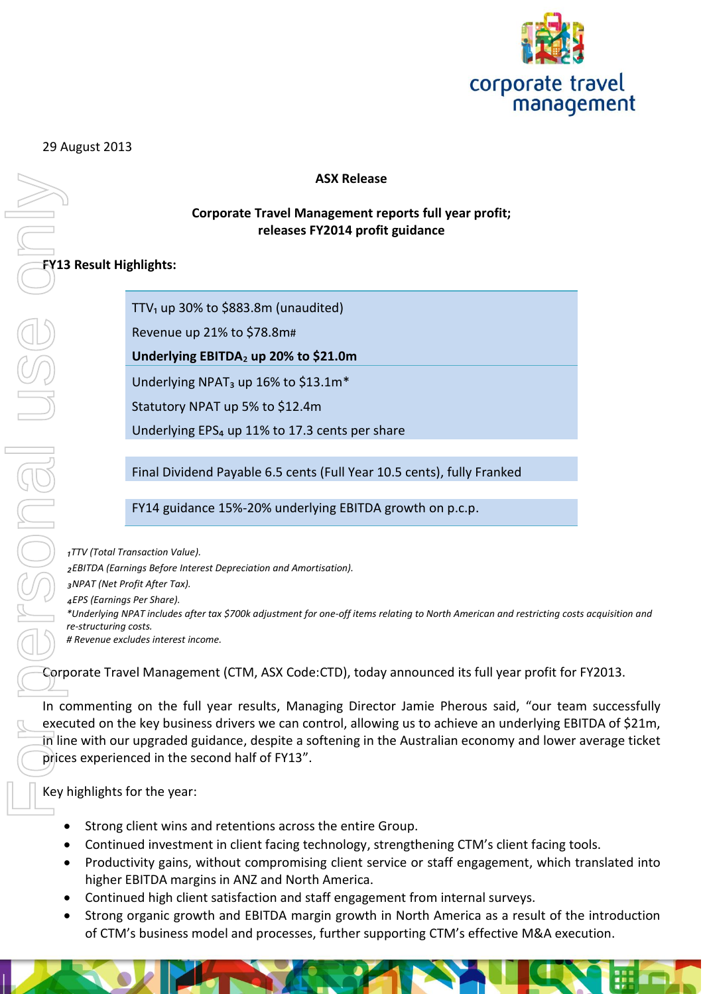

### 29 August 2013

## **ASX Release**

### **Corporate Travel Management reports full year profit; releases FY2014 profit guidance**

# **FY13 Result Highlights:**

TTV $_1$  up 30% to \$883.8m (unaudited)

Revenue up 21% to \$78.8m#

**Underlying EBITDA**₂ **up 20% to \$21.0m**

Underlying NPAT<sub>3</sub> up 16% to \$13.1m<sup>\*</sup>

Statutory NPAT up 5% to \$12.4m

Underlying EPS<sub>4</sub> up 11% to 17.3 cents per share

Final Dividend Payable 6.5 cents (Full Year 10.5 cents), fully Franked

FY14 guidance 15%-20% underlying EBITDA growth on p.c.p.

*₁TTV (Total Transaction Value). ₂EBITDA (Earnings Before Interest Depreciation and Amortisation). ₃NPAT (Net Profit After Tax). ₄EPS (Earnings Per Share). \*Underlying NPAT includes after tax \$700k adjustment for one-off items relating to North American and restricting costs acquisition and re-structuring costs. # Revenue excludes interest income.*

Corporate Travel Management (CTM, ASX Code:CTD), today announced its full year profit for FY2013.

In commenting on the full year results, Managing Director Jamie Pherous said, "our team successfully executed on the key business drivers we can control, allowing us to achieve an underlying EBITDA of \$21m, In line with our upgraded guidance, despite a softening in the Australian economy and lower average ticket prices experienced in the second half of FY13".

Key highlights for the year:

- Strong client wins and retentions across the entire Group.
- Continued investment in client facing technology, strengthening CTM's client facing tools.
- Productivity gains, without compromising client service or staff engagement, which translated into higher EBITDA margins in ANZ and North America.
- Continued high client satisfaction and staff engagement from internal surveys.
- Strong organic growth and EBITDA margin growth in North America as a result of the introduction of CTM's business model and processes, further supporting CTM's effective M&A execution.